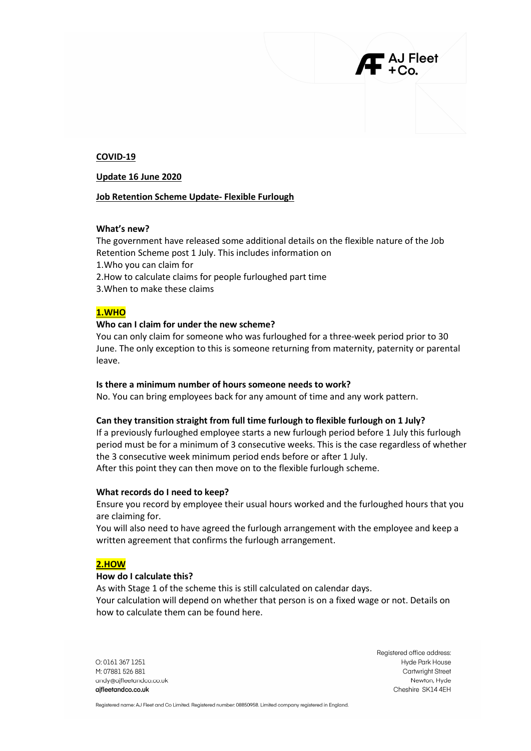#### COVID-19

#### Update 16 June 2020

### Job Retention Scheme Update- Flexible Furlough

## What's new?

The government have released some additional details on the flexible nature of the Job Retention Scheme post 1 July. This includes information on 1.Who you can claim for 2.How to calculate claims for people furloughed part time 3.When to make these claims

### 1.WHO

### Who can I claim for under the new scheme?

You can only claim for someone who was furloughed for a three-week period prior to 30 June. The only exception to this is someone returning from maternity, paternity or parental leave.

#### Is there a minimum number of hours someone needs to work?

No. You can bring employees back for any amount of time and any work pattern.

#### Can they transition straight from full time furlough to flexible furlough on 1 July?

If a previously furloughed employee starts a new furlough period before 1 July this furlough period must be for a minimum of 3 consecutive weeks. This is the case regardless of whether the 3 consecutive week minimum period ends before or after 1 July. After this point they can then move on to the flexible furlough scheme.

#### What records do I need to keep?

Ensure you record by employee their usual hours worked and the furloughed hours that you are claiming for.

You will also need to have agreed the furlough arrangement with the employee and keep a written agreement that confirms the furlough arrangement.

# 2.HOW

#### How do I calculate this?

As with Stage 1 of the scheme this is still calculated on calendar days. Your calculation will depend on whether that person is on a fixed wage or not. Details on how to calculate them can be found here.

 $O: 01613671251$ M: 07881 526 881 andy@ajfleetandco.co.uk aifleetandco.co.uk

Registered office address: Hyde Park House **Cartwright Street** Newton, Hyde Cheshire SK14 4EH

AJ Fleet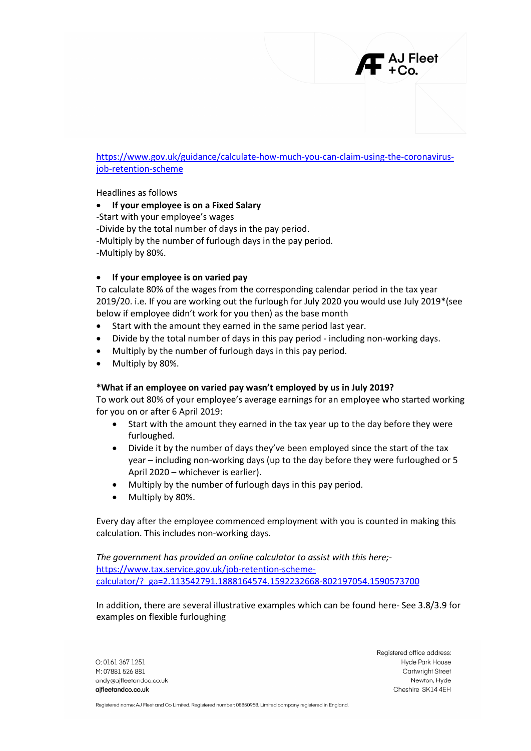

Headlines as follows

If your employee is on a Fixed Salary

-Start with your employee's wages -Divide by the total number of days in the pay period. -Multiply by the number of furlough days in the pay period. -Multiply by 80%.

# If your employee is on varied pay

To calculate 80% of the wages from the corresponding calendar period in the tax year 2019/20. i.e. If you are working out the furlough for July 2020 you would use July 2019\*(see below if employee didn't work for you then) as the base month

- Start with the amount they earned in the same period last year.
- Divide by the total number of days in this pay period including non-working days.
- Multiply by the number of furlough days in this pay period.
- Multiply by 80%.

### \*What if an employee on varied pay wasn't employed by us in July 2019?

To work out 80% of your employee's average earnings for an employee who started working for you on or after 6 April 2019:

- Start with the amount they earned in the tax year up to the day before they were furloughed.
- Divide it by the number of days they've been employed since the start of the tax year – including non-working days (up to the day before they were furloughed or 5 April 2020 – whichever is earlier).
- Multiply by the number of furlough days in this pay period.
- Multiply by 80%.

Every day after the employee commenced employment with you is counted in making this calculation. This includes non-working days.

The government has provided an online calculator to assist with this here; https://www.tax.service.gov.uk/job-retention-schemecalculator/?\_ga=2.113542791.1888164574.1592232668-802197054.1590573700

In addition, there are several illustrative examples which can be found here- See 3.8/3.9 for examples on flexible furloughing

 $O: 01613671251$ M: 07881 526 881 andv@aifleetandco.co.uk aifleetandco.co.uk

Registered office address: Hyde Park House **Cartwright Street** Newton, Hyde Cheshire SK14 4EH

AJ Fleet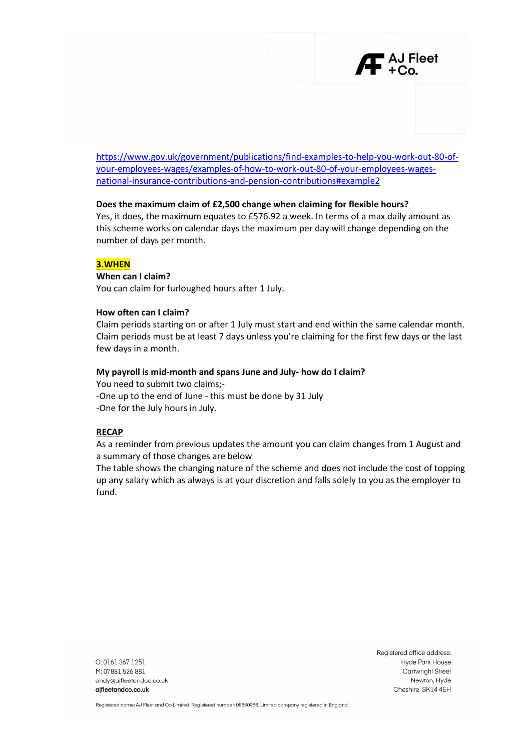

# Does the maximum claim of £2,500 change when claiming for flexible hours?

Yes, it does, the maximum equates to £576.92 a week. In terms of a max daily amount as this scheme works on calendar days the maximum per day will change depending on the number of days per month.

# 3.WHEN

# When can I claim?

You can claim for furloughed hours after 1 July.

# How often can I claim?

Claim periods starting on or after 1 July must start and end within the same calendar month. Claim periods must be at least 7 days unless you're claiming for the first few days or the last few days in a month.

# My payroll is mid-month and spans June and July- how do I claim?

You need to submit two claims;- -One up to the end of June - this must be done by 31 July -One for the July hours in July.

### RECAP

As a reminder from previous updates the amount you can claim changes from 1 August and a summary of those changes are below

The table shows the changing nature of the scheme and does not include the cost of topping up any salary which as always is at your discretion and falls solely to you as the employer to fund.

 $O: 01613671251$ M: 07881 526 881 andy@ajfleetandco.co.uk aifleetandco.co.uk

Registered office address: Hyde Park House **Cartwright Street** Newton, Hyde Cheshire SK14 4EH

 $\blacksquare$  AJ Fleet